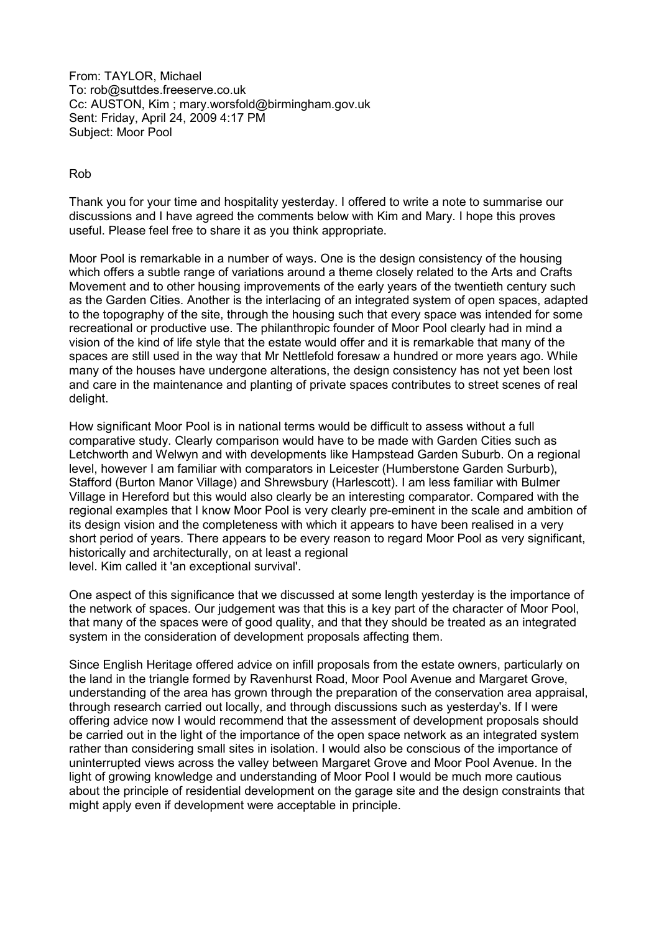From: TAYLOR, Michael To: rob@suttdes.freeserve.co.uk Cc: AUSTON, Kim ; mary.worsfold@birmingham.gov.uk Sent: Friday, April 24, 2009 4:17 PM Subject: Moor Pool

## Rob

Thank you for your time and hospitality yesterday. I offered to write a note to summarise our discussions and I have agreed the comments below with Kim and Mary. I hope this proves useful. Please feel free to share it as you think appropriate.

Moor Pool is remarkable in a number of ways. One is the design consistency of the housing which offers a subtle range of variations around a theme closely related to the Arts and Crafts Movement and to other housing improvements of the early years of the twentieth century such as the Garden Cities. Another is the interlacing of an integrated system of open spaces, adapted to the topography of the site, through the housing such that every space was intended for some recreational or productive use. The philanthropic founder of Moor Pool clearly had in mind a vision of the kind of life style that the estate would offer and it is remarkable that many of the spaces are still used in the way that Mr Nettlefold foresaw a hundred or more years ago. While many of the houses have undergone alterations, the design consistency has not yet been lost and care in the maintenance and planting of private spaces contributes to street scenes of real delight.

How significant Moor Pool is in national terms would be difficult to assess without a full comparative study. Clearly comparison would have to be made with Garden Cities such as Letchworth and Welwyn and with developments like Hampstead Garden Suburb. On a regional level, however I am familiar with comparators in Leicester (Humberstone Garden Surburb), Stafford (Burton Manor Village) and Shrewsbury (Harlescott). I am less familiar with Bulmer Village in Hereford but this would also clearly be an interesting comparator. Compared with the regional examples that I know Moor Pool is very clearly pre-eminent in the scale and ambition of its design vision and the completeness with which it appears to have been realised in a very short period of years. There appears to be every reason to regard Moor Pool as very significant, historically and architecturally, on at least a regional level. Kim called it 'an exceptional survival'.

One aspect of this significance that we discussed at some length yesterday is the importance of the network of spaces. Our judgement was that this is a key part of the character of Moor Pool, that many of the spaces were of good quality, and that they should be treated as an integrated system in the consideration of development proposals affecting them.

Since English Heritage offered advice on infill proposals from the estate owners, particularly on the land in the triangle formed by Ravenhurst Road, Moor Pool Avenue and Margaret Grove, understanding of the area has grown through the preparation of the conservation area appraisal, through research carried out locally, and through discussions such as yesterday's. If I were offering advice now I would recommend that the assessment of development proposals should be carried out in the light of the importance of the open space network as an integrated system rather than considering small sites in isolation. I would also be conscious of the importance of uninterrupted views across the valley between Margaret Grove and Moor Pool Avenue. In the light of growing knowledge and understanding of Moor Pool I would be much more cautious about the principle of residential development on the garage site and the design constraints that might apply even if development were acceptable in principle.